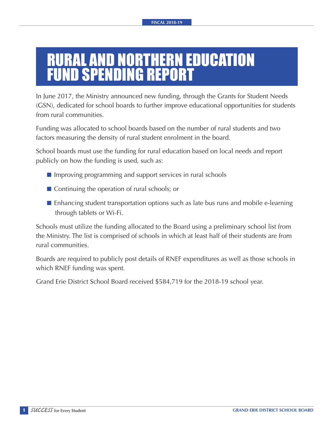## RURAL AND NORTHERN EDUCATION FUND SPENDING REPORT

In June 2017, the Ministry announced new funding, through the Grants for Student Needs (GSN), dedicated for school boards to further improve educational opportunities for students from rural communities.

Funding was allocated to school boards based on the number of rural students and two factors measuring the density of rural student enrolment in the board.

School boards must use the funding for rural education based on local needs and report publicly on how the funding is used, such as:

- $\blacksquare$  Improving programming and support services in rural schools
- $\blacksquare$  Continuing the operation of rural schools; or
- $\blacksquare$  Enhancing student transportation options such as late bus runs and mobile e-learning through tablets or Wi-Fi.

Schools must utilize the funding allocated to the Board using a preliminary school list from the Ministry. The list is comprised of schools in which at least half of their students are from rural communities.

Boards are required to publicly post details of RNEF expenditures as well as those schools in which RNEF funding was spent.

Grand Erie District School Board received \$584,719 for the 2018-19 school year.